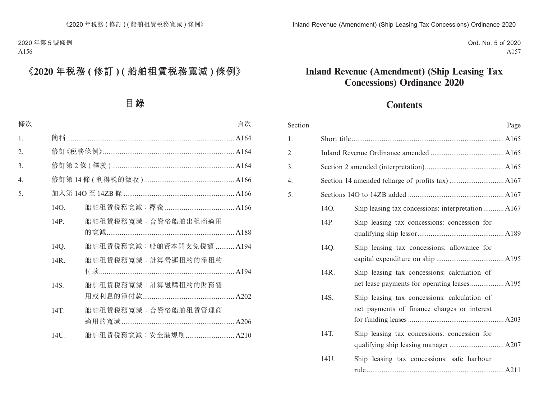Ord. No. 5 of 2020 A157

# **Inland Revenue (Amendment) (Ship Leasing Tax Concessions) Ordinance 2020**

# **Contents**

| Section |      | Page                                                                                        |  |
|---------|------|---------------------------------------------------------------------------------------------|--|
| 1.      |      |                                                                                             |  |
| 2.      |      |                                                                                             |  |
| 3.      |      |                                                                                             |  |
| 4.      |      |                                                                                             |  |
| 5.      |      |                                                                                             |  |
|         | 14O. | Ship leasing tax concessions: interpretation A167                                           |  |
|         | 14P. | Ship leasing tax concessions: concession for                                                |  |
|         | 14Q. | Ship leasing tax concessions: allowance for                                                 |  |
|         | 14R. | Ship leasing tax concessions: calculation of                                                |  |
|         | 14S. | Ship leasing tax concessions: calculation of<br>net payments of finance charges or interest |  |
|         | 14T. | Ship leasing tax concessions: concession for                                                |  |
|         | 14U. | Ship leasing tax concessions: safe harbour                                                  |  |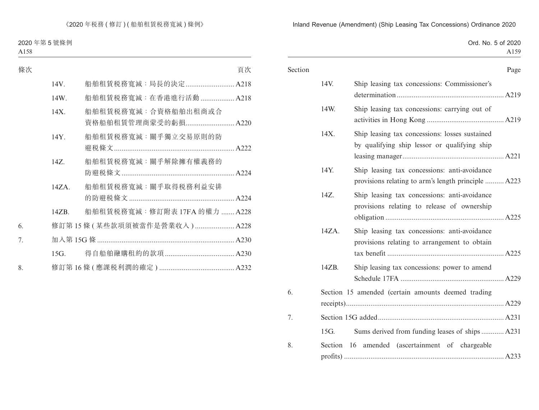|  |  | Ord. No. 5 of 2020 |
|--|--|--------------------|
|  |  | A <sub>159</sub>   |

| Section |       |                                                                                                     | Page |
|---------|-------|-----------------------------------------------------------------------------------------------------|------|
|         | 14V.  | Ship leasing tax concessions: Commissioner's                                                        |      |
|         | 14W.  | Ship leasing tax concessions: carrying out of                                                       |      |
|         | 14X.  | Ship leasing tax concessions: losses sustained<br>by qualifying ship lessor or qualifying ship      |      |
|         | 14Y.  | Ship leasing tax concessions: anti-avoidance<br>provisions relating to arm's length principle  A223 |      |
|         | 14Z.  | Ship leasing tax concessions: anti-avoidance<br>provisions relating to release of ownership         |      |
|         | 14ZA. | Ship leasing tax concessions: anti-avoidance<br>provisions relating to arrangement to obtain        |      |
|         | 14ZB. | Ship leasing tax concessions: power to amend                                                        |      |
| 6.      |       | Section 15 amended (certain amounts deemed trading                                                  |      |
| 7.      |       |                                                                                                     |      |
|         | 15G.  | Sums derived from funding leases of ships A231                                                      |      |
| 8.      |       | Section 16 amended (ascertainment of chargeable                                                     |      |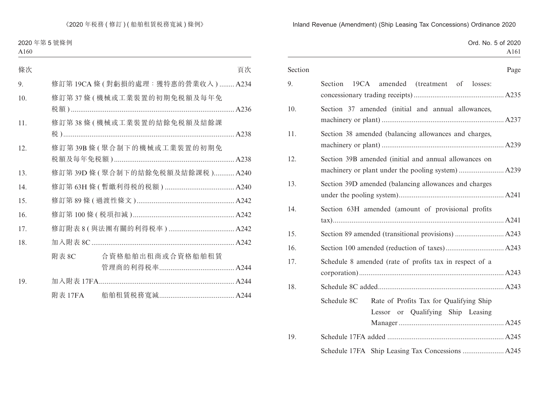|  |  | Ord. No. 5 of 2020 |
|--|--|--------------------|
|  |  | A161               |

| Section |                                                                                             | Page |
|---------|---------------------------------------------------------------------------------------------|------|
| 9.      | 19CA amended (treatment of losses:<br><b>Section</b>                                        |      |
| 10.     | Section 37 amended (initial and annual allowances,                                          |      |
| 11.     | Section 38 amended (balancing allowances and charges,                                       |      |
| 12.     | Section 39B amended (initial and annual allowances on                                       |      |
| 13.     | Section 39D amended (balancing allowances and charges                                       |      |
| 14.     | Section 63H amended (amount of provisional profits                                          |      |
| 15.     |                                                                                             |      |
| 16.     |                                                                                             |      |
| 17.     | Schedule 8 amended (rate of profits tax in respect of a                                     |      |
| 18.     |                                                                                             |      |
|         | Schedule 8C<br>Rate of Profits Tax for Qualifying Ship<br>Lessor or Qualifying Ship Leasing |      |
| 19.     |                                                                                             |      |
|         | Schedule 17FA Ship Leasing Tax Concessions  A245                                            |      |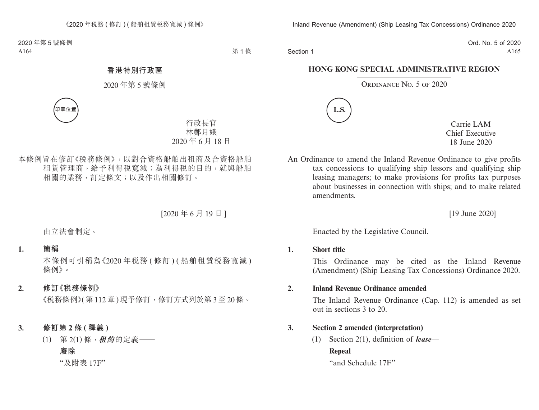Section 1

Ord. No. 5 of 2020 A165

## **HONG KONG SPECIAL ADMINISTRATIVE REGION**

#### ORDINANCE No. 5 OF 2020



Carrie LAM Chief Executive 18 June 2020

An Ordinance to amend the Inland Revenue Ordinance to give profits tax concessions to qualifying ship lessors and qualifying ship leasing managers; to make provisions for profits tax purposes about businesses in connection with ships; and to make related amendments.

[19 June 2020]

Enacted by the Legislative Council.

#### **1. Short title**

This Ordinance may be cited as the Inland Revenue (Amendment) (Ship Leasing Tax Concessions) Ordinance 2020.

## **2. Inland Revenue Ordinance amended**

The Inland Revenue Ordinance (Cap. 112) is amended as set out in sections 3 to 20.

# **3. Section 2 amended (interpretation)**

(1) Section 2(1), definition of *lease*— **Repeal**

"and Schedule 17F"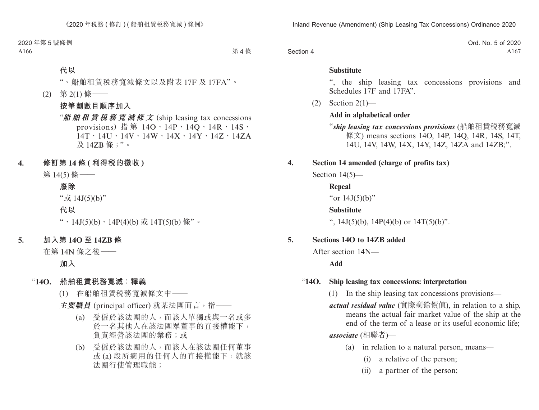|           | Ord. No. 5 of 2020 |
|-----------|--------------------|
| Section 4 | A167               |

#### **Substitute**

", the ship leasing tax concessions provisions and Schedules 17F and 17FA".

(2) Section 2(1)—

#### **Add in alphabetical order**

- "*ship leasing tax concessions provisions* (船舶租賃稅務寬減 條文) means sections 14O, 14P, 14Q, 14R, 14S, 14T, 14U, 14V, 14W, 14X, 14Y, 14Z, 14ZA and 14ZB;".
- **4. Section 14 amended (charge of profits tax)**

Section 14(5)—

**Repeal** "or 14J(5)(b)" **Substitute** ",  $14J(5)(b)$ ,  $14P(4)(b)$  or  $14T(5)(b)$ ".

#### **5. Sections 14O to 14ZB added**

After section 14N—

**Add**

#### "**14O. Ship leasing tax concessions: interpretation**

(1) In the ship leasing tax concessions provisions—

*actual residual value* (實際剩餘價值), in relation to a ship, means the actual fair market value of the ship at the end of the term of a lease or its useful economic life; *associate* (相聯者)—

- (a) in relation to a natural person, means—
	- (i) a relative of the person;
	- (ii) a partner of the person;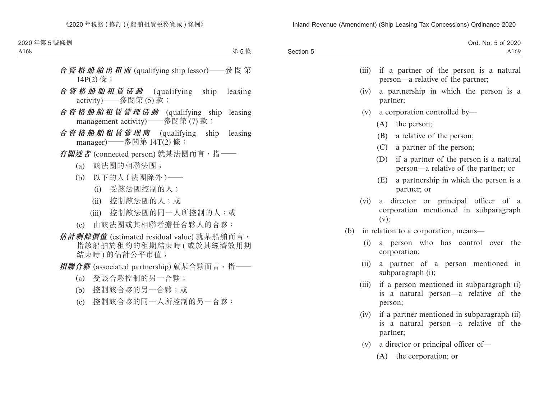|           | Ord. No. 5 of 2020 |
|-----------|--------------------|
| Section 5 | A169               |
|           |                    |

|     | (iii) | if a partner of the person is a natural<br>person—a relative of the partner;                     |
|-----|-------|--------------------------------------------------------------------------------------------------|
|     | (iv)  | a partnership in which the person is a<br>partner;                                               |
|     |       | $(v)$ a corporation controlled by—                                                               |
|     |       | $(A)$ the person;                                                                                |
|     |       | (B) a relative of the person;                                                                    |
|     |       | (C) a partner of the person;                                                                     |
|     |       | (D)<br>if a partner of the person is a natural<br>person—a relative of the partner; or           |
|     |       | (E)<br>a partnership in which the person is a<br>partner; or                                     |
|     | (vi)  | director or principal officer of a<br>a<br>corporation mentioned in subparagraph<br>(v);         |
| (b) |       | in relation to a corporation, means—                                                             |
|     | (i)   | a person who has control over the<br>corporation;                                                |
|     | (ii)  | a partner of a person mentioned in<br>subparagraph (i);                                          |
|     | (iii) | if a person mentioned in subparagraph (i)<br>is a natural person—a relative of the<br>person;    |
|     | (iv)  | if a partner mentioned in subparagraph (ii)<br>is a natural person—a relative of the<br>partner; |
|     | (v)   | a director or principal officer of-                                                              |

(A) the corporation; or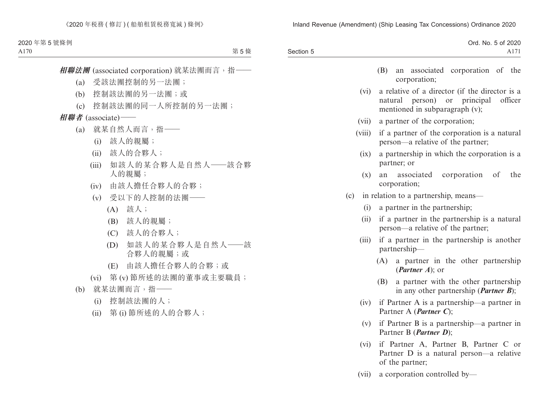|           | Ord. No. 5 of 2020 |
|-----------|--------------------|
| Section 5 | A171               |

- (B) an associated corporation of the corporation;
- (vi) a relative of a director (if the director is a natural person) or principal officer mentioned in subparagraph (v);
- (vii) a partner of the corporation;
- (viii) if a partner of the corporation is a natural person—a relative of the partner;
	- (ix) a partnership in which the corporation is a partner; or
	- (x) an associated corporation of the corporation;
- (c) in relation to a partnership, means—
	- (i) a partner in the partnership;
	- (ii) if a partner in the partnership is a natural person—a relative of the partner;
	- (iii) if a partner in the partnership is another partnership—
		- (A) a partner in the other partnership (*Partner A*); or
		- (B) a partner with the other partnership in any other partnership (*Partner B*);
	- (iv) if Partner A is a partnership—a partner in Partner A (*Partner C*);
	- (v) if Partner B is a partnership—a partner in Partner B (*Partner D*);
	- (vi) if Partner A, Partner B, Partner C or Partner D is a natural person—a relative of the partner;
	- (vii) a corporation controlled by—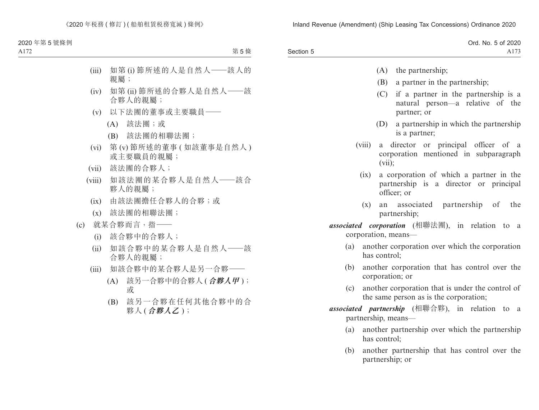|           | Ord. No. 5 of 2020 |
|-----------|--------------------|
| Section 5 | A173               |

- (A) the partnership;
- (B) a partner in the partnership;
- (C) if a partner in the partnership is a natural person—a relative of the partner; or
- (D) a partnership in which the partnership is a partner;
- (viii) a director or principal officer of a corporation mentioned in subparagraph (vii);
	- (ix) a corporation of which a partner in the partnership is a director or principal officer; or
	- (x) an associated partnership of the partnership;
- *associated corporation* (相聯法團), in relation to a corporation, means—
	- (a) another corporation over which the corporation has control;
	- (b) another corporation that has control over the corporation; or
	- (c) another corporation that is under the control of the same person as is the corporation;
- *associated partnership* (相聯合夥), in relation to a partnership, means—
	- (a) another partnership over which the partnership has control;
	- (b) another partnership that has control over the partnership; or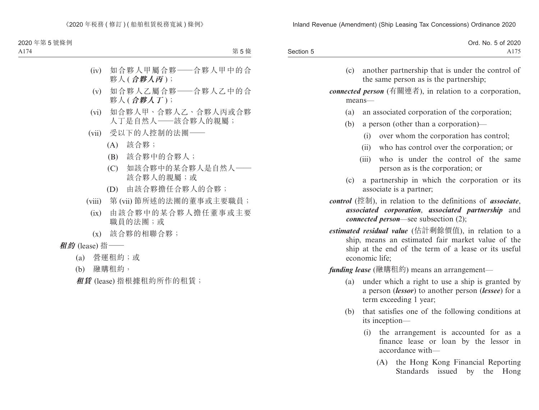|           | Ord. No. 5 of 2020 |
|-----------|--------------------|
| Section 5 | 175<br>A175        |

(c) another partnership that is under the control of the same person as is the partnership;

*connected person* (有關連者), in relation to a corporation, means—

- (a) an associated corporation of the corporation;
- (b) a person (other than a corporation)—
	- (i) over whom the corporation has control;
	- (ii) who has control over the corporation; or
	- (iii) who is under the control of the same person as is the corporation; or
- (c) a partnership in which the corporation or its associate is a partner;
- *control* (控制), in relation to the definitions of *associate*, *associated corporation*, *associated partnership* and *connected person*—see subsection (2);
- *estimated residual value* (估計剩餘價值), in relation to a ship, means an estimated fair market value of the ship at the end of the term of a lease or its useful economic life;

*funding lease* (融購租約) means an arrangement—

- (a) under which a right to use a ship is granted by a person (*lessor*) to another person (*lessee*) for a term exceeding 1 year;
- (b) that satisfies one of the following conditions at its inception—
	- (i) the arrangement is accounted for as a finance lease or loan by the lessor in accordance with—
		- (A) the Hong Kong Financial Reporting Standards issued by the Hong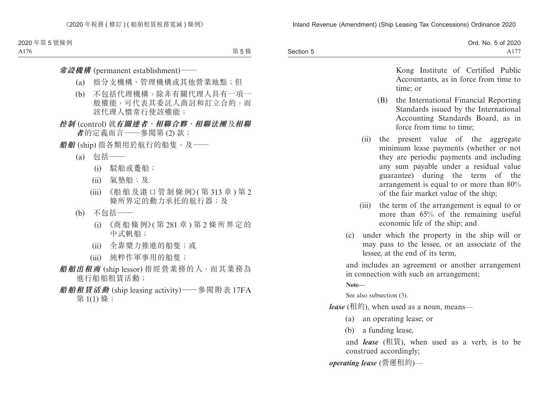|           | Ord. No. 5 of 2020 |
|-----------|--------------------|
| Section 5 | A17                |

Kong Institute of Certified Public Accountants, as in force from time to time; or

- (B) the International Financial Reporting Standards issued by the International Accounting Standards Board, as in force from time to time;
- (ii) the present value of the aggregate minimum lease payments (whether or not they are periodic payments and including any sum payable under a residual value guarantee) during the term of the arrangement is equal to or more than 80% of the fair market value of the ship;
- (iii) the term of the arrangement is equal to or more than 65% of the remaining useful economic life of the ship; and
- (c) under which the property in the ship will or may pass to the lessee, or an associate of the lessee, at the end of its term,

and includes an agreement or another arrangement in connection with such an arrangement;

**Note—**

See also subsection (3).

*lease* (租約), when used as a noun, means—

- (a) an operating lease; or
- (b) a funding lease,

and *lease* (租賃), when used as a verb, is to be construed accordingly;

*operating lease* (營運租約)—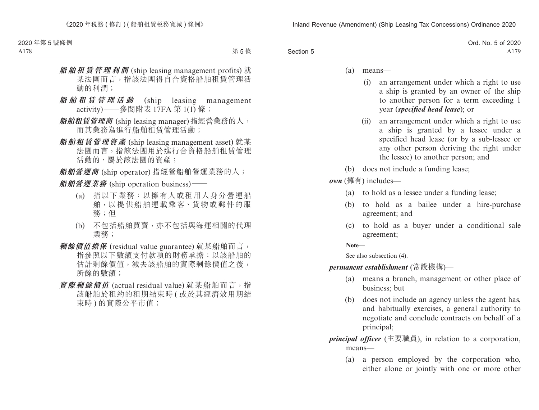|           | Ord. No. 5 of 2020   |
|-----------|----------------------|
| Section 5 | 179<br>$AI^{\prime}$ |

- (a) means—
	- (i) an arrangement under which a right to use a ship is granted by an owner of the ship to another person for a term exceeding 1 year (*specified head lease*); or
	- (ii) an arrangement under which a right to use a ship is granted by a lessee under a specified head lease (or by a sub-lessee or any other person deriving the right under the lessee) to another person; and
- (b) does not include a funding lease;

*own* (擁有) includes—

- (a) to hold as a lessee under a funding lease;
- (b) to hold as a bailee under a hire-purchase agreement; and
- (c) to hold as a buyer under a conditional sale agreement;

**Note—**

See also subsection (4).

*permanent establishment* (常設機構)—

- (a) means a branch, management or other place of business; but
- (b) does not include an agency unless the agent has, and habitually exercises, a general authority to negotiate and conclude contracts on behalf of a principal;
- *principal officer* (主要職員), in relation to a corporation, means—
	- (a) a person employed by the corporation who, either alone or jointly with one or more other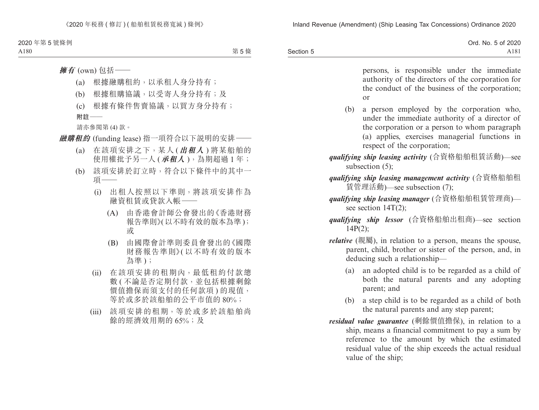|           | Ord. No. 5 of 2020 |
|-----------|--------------------|
| Section 5 | A181               |

persons, is responsible under the immediate authority of the directors of the corporation for the conduct of the business of the corporation; or

- (b) a person employed by the corporation who, under the immediate authority of a director of the corporation or a person to whom paragraph (a) applies, exercises managerial functions in respect of the corporation;
- *qualifying ship leasing activity* (合資格船舶租賃活動)—see subsection  $(5)$ :
- *qualifying ship leasing management activity* (合資格船舶租 賃管理活動)—see subsection (7);
- *qualifying ship leasing manager* (合資格船舶租賃管理商) see section 14T(2);
- *qualifying ship lessor* (合資格船舶出租商)—see section 14P(2);
- *relative* (親屬), in relation to a person, means the spouse, parent, child, brother or sister of the person, and, in deducing such a relationship—
	- (a) an adopted child is to be regarded as a child of both the natural parents and any adopting parent; and
	- (b) a step child is to be regarded as a child of both the natural parents and any step parent;
- *residual value guarantee* (剩餘價值擔保), in relation to a ship, means a financial commitment to pay a sum by reference to the amount by which the estimated residual value of the ship exceeds the actual residual value of the ship;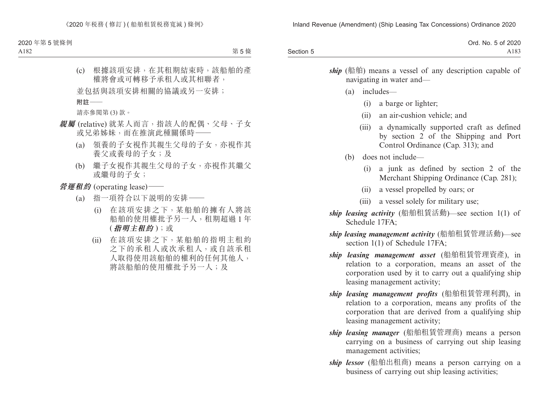|           | Ord. No. 5 of 2020 |
|-----------|--------------------|
| Section 5 | A183               |

ship (船舶) means a vessel of any description capable of navigating in water and—

- (a) includes—
	- (i) a barge or lighter;
	- (ii) an air-cushion vehicle; and
	- (iii) a dynamically supported craft as defined by section 2 of the Shipping and Port Control Ordinance (Cap. 313); and
- (b) does not include—
	- (i) a junk as defined by section 2 of the Merchant Shipping Ordinance (Cap. 281);
	- (ii) a vessel propelled by oars; or
	- (iii) a vessel solely for military use;
- *ship leasing activity* (船舶租賃活動)—see section 1(1) of Schedule 17FA;
- *ship leasing management activity* (船舶租賃管理活動)—see section 1(1) of Schedule 17FA;
- *ship leasing management asset* (船舶租賃管理資產), in relation to a corporation, means an asset of the corporation used by it to carry out a qualifying ship leasing management activity;
- *ship leasing management profits* (船舶租賃管理利潤), in relation to a corporation, means any profits of the corporation that are derived from a qualifying ship leasing management activity;
- *ship leasing manager* (船舶租賃管理商) means a person carrying on a business of carrying out ship leasing management activities;
- *ship lessor* (船舶出租商) means a person carrying on a business of carrying out ship leasing activities;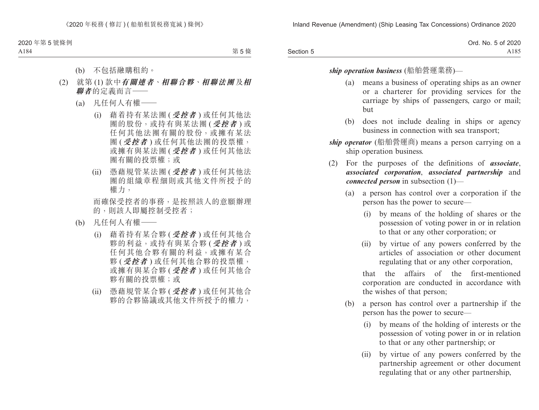|           | Ord. No. 5 of 2020 |
|-----------|--------------------|
| Section 5 | A185               |

#### *ship operation business* (船舶營運業務)—

- (a) means a business of operating ships as an owner or a charterer for providing services for the carriage by ships of passengers, cargo or mail; but
- (b) does not include dealing in ships or agency business in connection with sea transport;
- *ship operator* (船舶營運商) means a person carrying on a ship operation business.
- (2) For the purposes of the definitions of *associate*, *associated corporation*, *associated partnership* and *connected person* in subsection (1)—
	- (a) a person has control over a corporation if the person has the power to secure—
		- (i) by means of the holding of shares or the possession of voting power in or in relation to that or any other corporation; or
		- (ii) by virtue of any powers conferred by the articles of association or other document regulating that or any other corporation,

that the affairs of the first-mentioned corporation are conducted in accordance with the wishes of that person;

- (b) a person has control over a partnership if the person has the power to secure—
	- (i) by means of the holding of interests or the possession of voting power in or in relation to that or any other partnership; or
	- (ii) by virtue of any powers conferred by the partnership agreement or other document regulating that or any other partnership,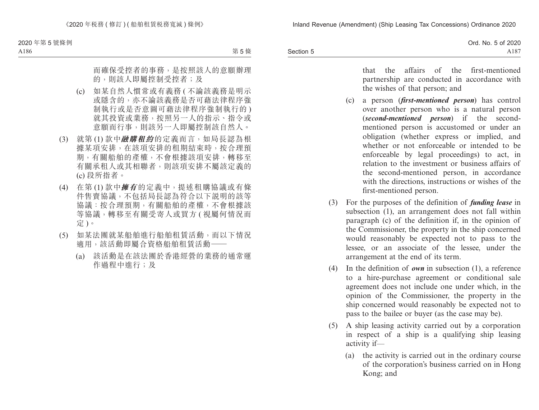|           | Ord. No. 5 of 2020 |
|-----------|--------------------|
| Section 5 | A187               |

that the affairs of the first-mentioned partnership are conducted in accordance with the wishes of that person; and

- (c) a person (*first-mentioned person*) has control over another person who is a natural person (*second-mentioned person*) if the secondmentioned person is accustomed or under an obligation (whether express or implied, and whether or not enforceable or intended to be enforceable by legal proceedings) to act, in relation to the investment or business affairs of the second-mentioned person, in accordance with the directions, instructions or wishes of the first-mentioned person.
- (3) For the purposes of the definition of *funding lease* in subsection (1), an arrangement does not fall within paragraph (c) of the definition if, in the opinion of the Commissioner, the property in the ship concerned would reasonably be expected not to pass to the lessee, or an associate of the lessee, under the arrangement at the end of its term.
- (4) In the definition of *own* in subsection (1), a reference to a hire-purchase agreement or conditional sale agreement does not include one under which, in the opinion of the Commissioner, the property in the ship concerned would reasonably be expected not to pass to the bailee or buyer (as the case may be).
- (5) A ship leasing activity carried out by a corporation in respect of a ship is a qualifying ship leasing activity if—
	- (a) the activity is carried out in the ordinary course of the corporation's business carried on in Hong Kong; and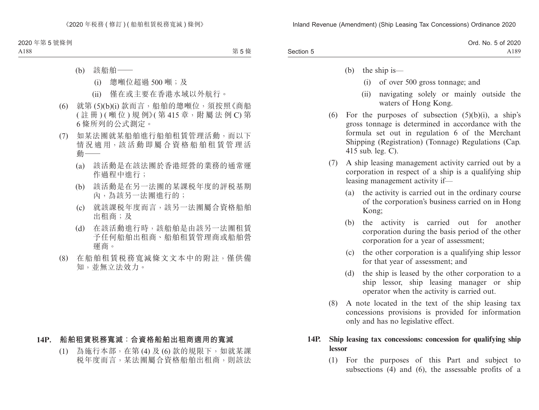|           | Ord. No. 5 of 2020 |
|-----------|--------------------|
| Section 5 | A189               |

(b) the ship is—

- (i) of over 500 gross tonnage; and
- (ii) navigating solely or mainly outside the waters of Hong Kong.
- (6) For the purposes of subsection  $(5)(b)(i)$ , a ship's gross tonnage is determined in accordance with the formula set out in regulation 6 of the Merchant Shipping (Registration) (Tonnage) Regulations (Cap. 415 sub. leg. C).
- (7) A ship leasing management activity carried out by a corporation in respect of a ship is a qualifying ship leasing management activity if—
	- (a) the activity is carried out in the ordinary course of the corporation's business carried on in Hong Kong;
	- (b) the activity is carried out for another corporation during the basis period of the other corporation for a year of assessment;
	- (c) the other corporation is a qualifying ship lessor for that year of assessment; and
	- (d) the ship is leased by the other corporation to a ship lessor, ship leasing manager or ship operator when the activity is carried out.
- (8) A note located in the text of the ship leasing tax concessions provisions is provided for information only and has no legislative effect.

## **14P. Ship leasing tax concessions: concession for qualifying ship lessor**

(1) For the purposes of this Part and subject to subsections (4) and (6), the assessable profits of a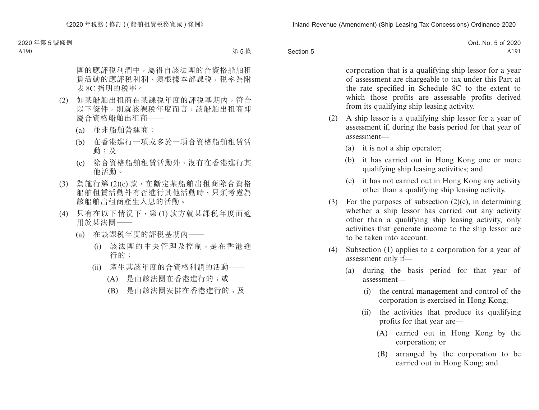|           | Ord. No. 5 of 2020 |
|-----------|--------------------|
| Section 5 | A191               |

corporation that is a qualifying ship lessor for a year of assessment are chargeable to tax under this Part at the rate specified in Schedule 8C to the extent to which those profits are assessable profits derived from its qualifying ship leasing activity.

- (2) A ship lessor is a qualifying ship lessor for a year of assessment if, during the basis period for that year of assessment—
	- (a) it is not a ship operator;
	- (b) it has carried out in Hong Kong one or more qualifying ship leasing activities; and
	- (c) it has not carried out in Hong Kong any activity other than a qualifying ship leasing activity.
- (3) For the purposes of subsection  $(2)(c)$ , in determining whether a ship lessor has carried out any activity other than a qualifying ship leasing activity, only activities that generate income to the ship lessor are to be taken into account.
- (4) Subsection (1) applies to a corporation for a year of assessment only if—
	- (a) during the basis period for that year of assessment—
		- (i) the central management and control of the corporation is exercised in Hong Kong;
		- (ii) the activities that produce its qualifying profits for that year are—
			- (A) carried out in Hong Kong by the corporation; or
			- (B) arranged by the corporation to be carried out in Hong Kong; and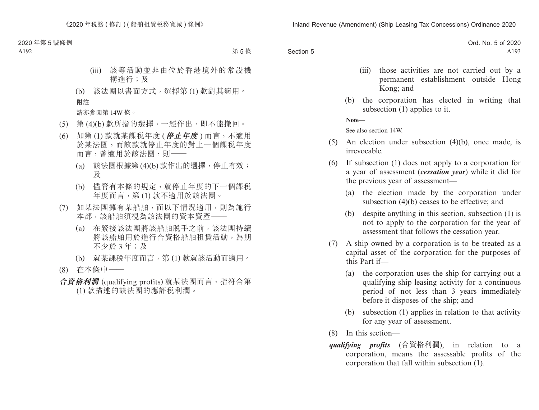|           | Ord. No. 5 of 2020 |
|-----------|--------------------|
| Section 5 | A193               |

- (iii) those activities are not carried out by a permanent establishment outside Hong Kong; and
- (b) the corporation has elected in writing that subsection (1) applies to it.

**Note—**

See also section 14W.

- (5) An election under subsection (4)(b), once made, is irrevocable.
- (6) If subsection (1) does not apply to a corporation for a year of assessment (*cessation year*) while it did for the previous year of assessment—
	- (a) the election made by the corporation under subsection (4)(b) ceases to be effective; and
	- (b) despite anything in this section, subsection (1) is not to apply to the corporation for the year of assessment that follows the cessation year.
- (7) A ship owned by a corporation is to be treated as a capital asset of the corporation for the purposes of this Part if—
	- (a) the corporation uses the ship for carrying out a qualifying ship leasing activity for a continuous period of not less than 3 years immediately before it disposes of the ship; and
	- (b) subsection (1) applies in relation to that activity for any year of assessment.
- (8) In this section—
- *qualifying profits* (合資格利潤), in relation to a corporation, means the assessable profits of the corporation that fall within subsection (1).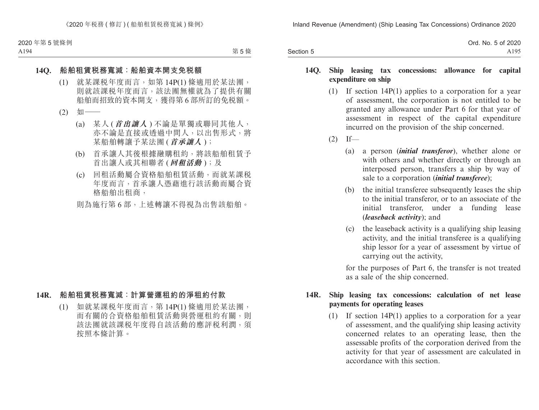|           | Ord. No. 5 of 2020 |
|-----------|--------------------|
| Section 5 | A195               |

#### **14Q. Ship leasing tax concessions: allowance for capital expenditure on ship**

- (1) If section 14P(1) applies to a corporation for a year of assessment, the corporation is not entitled to be granted any allowance under Part 6 for that year of assessment in respect of the capital expenditure incurred on the provision of the ship concerned.
- $(2)$  If—
	- (a) a person (*initial transferor*), whether alone or with others and whether directly or through an interposed person, transfers a ship by way of sale to a corporation (*initial transferee*);
	- (b) the initial transferee subsequently leases the ship to the initial transferor, or to an associate of the initial transferor, under a funding lease (*leaseback activity*); and
	- (c) the leaseback activity is a qualifying ship leasing activity, and the initial transferee is a qualifying ship lessor for a year of assessment by virtue of carrying out the activity,

for the purposes of Part 6, the transfer is not treated as a sale of the ship concerned.

## **14R. Ship leasing tax concessions: calculation of net lease payments for operating leases**

(1) If section 14P(1) applies to a corporation for a year of assessment, and the qualifying ship leasing activity concerned relates to an operating lease, then the assessable profits of the corporation derived from the activity for that year of assessment are calculated in accordance with this section.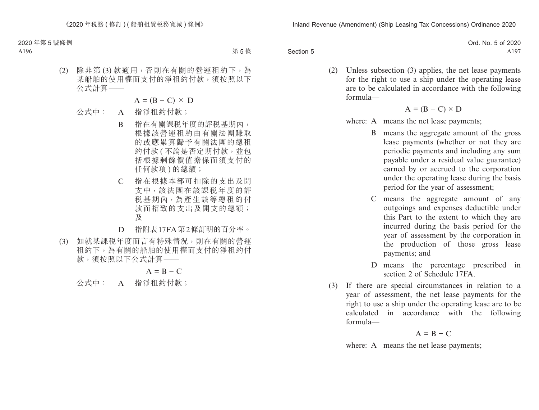|           | Ord. No. 5 of 2020 |
|-----------|--------------------|
| Section 5 | A197               |

(2) Unless subsection (3) applies, the net lease payments for the right to use a ship under the operating lease are to be calculated in accordance with the following formula—

$$
A = (B - C) \times D
$$

- where: A means the net lease payments:
	- B means the aggregate amount of the gross lease payments (whether or not they are periodic payments and including any sum payable under a residual value guarantee) earned by or accrued to the corporation under the operating lease during the basis period for the year of assessment;
	- C means the aggregate amount of any outgoings and expenses deductible under this Part to the extent to which they are incurred during the basis period for the year of assessment by the corporation in the production of those gross lease payments; and
	- D means the percentage prescribed in section 2 of Schedule 17FA.
- (3) If there are special circumstances in relation to a year of assessment, the net lease payments for the right to use a ship under the operating lease are to be calculated in accordance with the following formula—

$$
A = B - C
$$

where: A means the net lease payments;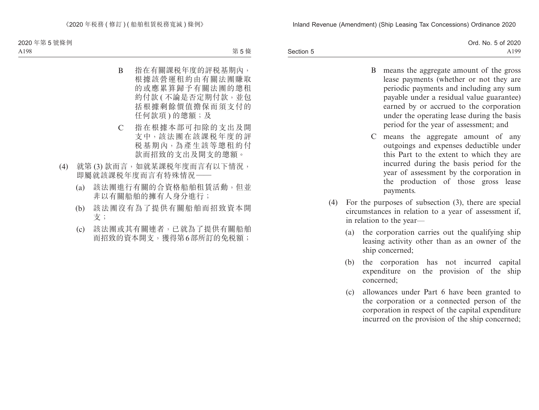|           | Ord. No. 5 of 2020 |
|-----------|--------------------|
| Section 5 | A199               |

- B means the aggregate amount of the gross lease payments (whether or not they are periodic payments and including any sum payable under a residual value guarantee) earned by or accrued to the corporation under the operating lease during the basis period for the year of assessment; and
- C means the aggregate amount of any outgoings and expenses deductible under this Part to the extent to which they are incurred during the basis period for the year of assessment by the corporation in the production of those gross lease payments.
- (4) For the purposes of subsection (3), there are special circumstances in relation to a year of assessment if, in relation to the year—
	- (a) the corporation carries out the qualifying ship leasing activity other than as an owner of the ship concerned;
	- (b) the corporation has not incurred capital expenditure on the provision of the ship concerned;
	- (c) allowances under Part 6 have been granted to the corporation or a connected person of the corporation in respect of the capital expenditure incurred on the provision of the ship concerned;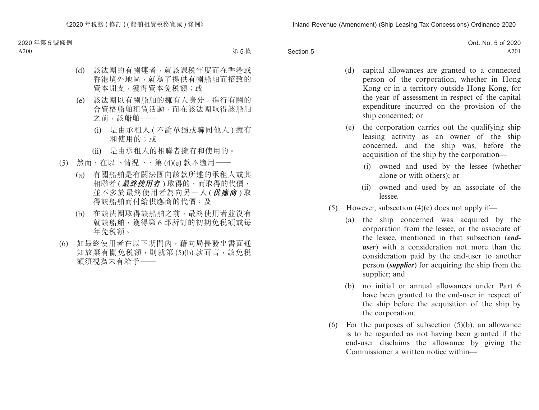|           | Ord. No. 5 of 2020 |
|-----------|--------------------|
| Section 5 | A <sub>201</sub>   |

- (d) capital allowances are granted to a connected person of the corporation, whether in Hong Kong or in a territory outside Hong Kong, for the year of assessment in respect of the capital expenditure incurred on the provision of the ship concerned; or
- (e) the corporation carries out the qualifying ship leasing activity as an owner of the ship concerned, and the ship was, before the acquisition of the ship by the corporation—
	- (i) owned and used by the lessee (whether alone or with others); or
	- (ii) owned and used by an associate of the lessee.
- (5) However, subsection  $(4)(e)$  does not apply if—
	- (a) the ship concerned was acquired by the corporation from the lessee, or the associate of the lessee, mentioned in that subsection (*enduser*) with a consideration not more than the consideration paid by the end-user to another person (*supplier*) for acquiring the ship from the supplier; and
	- (b) no initial or annual allowances under Part 6 have been granted to the end-user in respect of the ship before the acquisition of the ship by the corporation.
- (6) For the purposes of subsection (5)(b), an allowance is to be regarded as not having been granted if the end-user disclaims the allowance by giving the Commissioner a written notice within—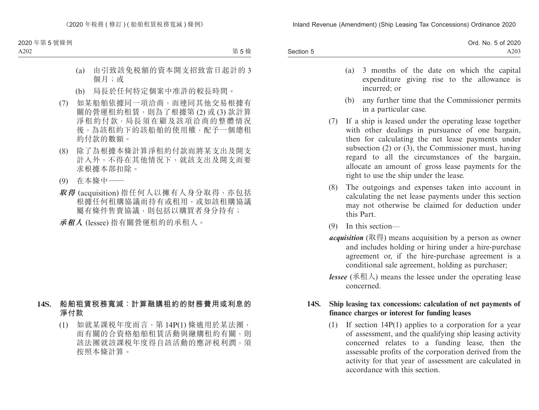|           | Ord. No. 5 of 2020 |
|-----------|--------------------|
| Section 5 | A <sub>203</sub>   |

- (a) 3 months of the date on which the capital expenditure giving rise to the allowance is incurred; or
- (b) any further time that the Commissioner permits in a particular case.
- (7) If a ship is leased under the operating lease together with other dealings in pursuance of one bargain, then for calculating the net lease payments under subsection (2) or (3), the Commissioner must, having regard to all the circumstances of the bargain, allocate an amount of gross lease payments for the right to use the ship under the lease.
- (8) The outgoings and expenses taken into account in calculating the net lease payments under this section may not otherwise be claimed for deduction under this Part.
- (9) In this section—
- *acquisition* (取得) means acquisition by a person as owner and includes holding or hiring under a hire-purchase agreement or, if the hire-purchase agreement is a conditional sale agreement, holding as purchaser;
- *lessee* (承租人) means the lessee under the operating lease concerned.

## **14S. Ship leasing tax concessions: calculation of net payments of finance charges or interest for funding leases**

(1) If section 14P(1) applies to a corporation for a year of assessment, and the qualifying ship leasing activity concerned relates to a funding lease, then the assessable profits of the corporation derived from the activity for that year of assessment are calculated in accordance with this section.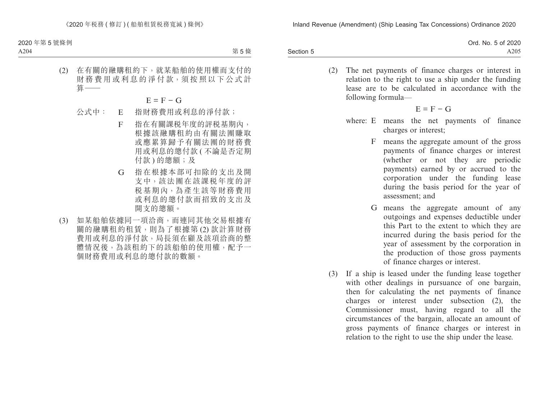|           | Ord. No. 5 of 2020 |
|-----------|--------------------|
| Section 5 | A205               |

(2) The net payments of finance charges or interest in relation to the right to use a ship under the funding lease are to be calculated in accordance with the following formula—

$$
E = F - G
$$

- where: E means the net payments of finance charges or interest;
	- F means the aggregate amount of the gross payments of finance charges or interest (whether or not they are periodic payments) earned by or accrued to the corporation under the funding lease during the basis period for the year of assessment; and
	- G means the aggregate amount of any outgoings and expenses deductible under this Part to the extent to which they are incurred during the basis period for the year of assessment by the corporation in the production of those gross payments of finance charges or interest.
- (3) If a ship is leased under the funding lease together with other dealings in pursuance of one bargain, then for calculating the net payments of finance charges or interest under subsection (2), the Commissioner must, having regard to all the circumstances of the bargain, allocate an amount of gross payments of finance charges or interest in relation to the right to use the ship under the lease.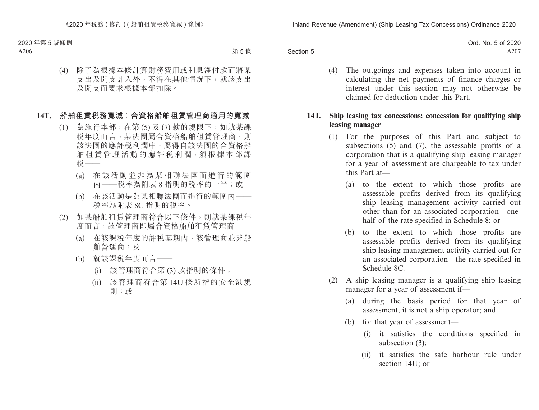|           | Ord. No. 5 of 2020 |
|-----------|--------------------|
| Section 5 | A207               |

(4) The outgoings and expenses taken into account in calculating the net payments of finance charges or interest under this section may not otherwise be claimed for deduction under this Part.

## **14T. Ship leasing tax concessions: concession for qualifying ship leasing manager**

- (1) For the purposes of this Part and subject to subsections (5) and (7), the assessable profits of a corporation that is a qualifying ship leasing manager for a year of assessment are chargeable to tax under this Part at—
	- (a) to the extent to which those profits are assessable profits derived from its qualifying ship leasing management activity carried out other than for an associated corporation—onehalf of the rate specified in Schedule 8; or
	- (b) to the extent to which those profits are assessable profits derived from its qualifying ship leasing management activity carried out for an associated corporation—the rate specified in Schedule 8C.
- (2) A ship leasing manager is a qualifying ship leasing manager for a year of assessment if—
	- (a) during the basis period for that year of assessment, it is not a ship operator; and
	- (b) for that year of assessment—
		- (i) it satisfies the conditions specified in subsection (3);
		- (ii) it satisfies the safe harbour rule under section 14U; or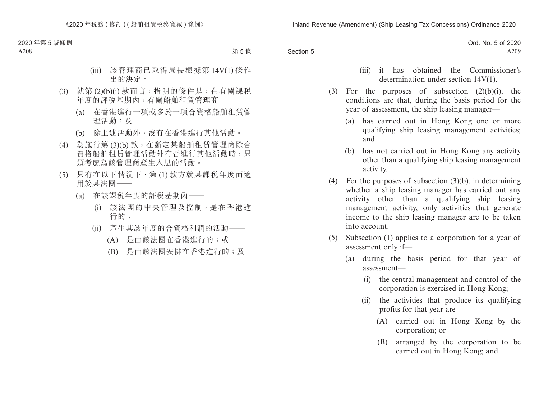|           | Ord. No. 5 of 2020 |
|-----------|--------------------|
| Section 5 | A209               |

- (iii) it has obtained the Commissioner's determination under section 14V(1).
- (3) For the purposes of subsection  $(2)(b)(i)$ , the conditions are that, during the basis period for the year of assessment, the ship leasing manager—
	- (a) has carried out in Hong Kong one or more qualifying ship leasing management activities; and
	- (b) has not carried out in Hong Kong any activity other than a qualifying ship leasing management activity.
- (4) For the purposes of subsection (3)(b), in determining whether a ship leasing manager has carried out any activity other than a qualifying ship leasing management activity, only activities that generate income to the ship leasing manager are to be taken into account.
- (5) Subsection (1) applies to a corporation for a year of assessment only if—
	- (a) during the basis period for that year of assessment—
		- (i) the central management and control of the corporation is exercised in Hong Kong;
		- (ii) the activities that produce its qualifying profits for that year are—
			- (A) carried out in Hong Kong by the corporation; or
			- (B) arranged by the corporation to be carried out in Hong Kong; and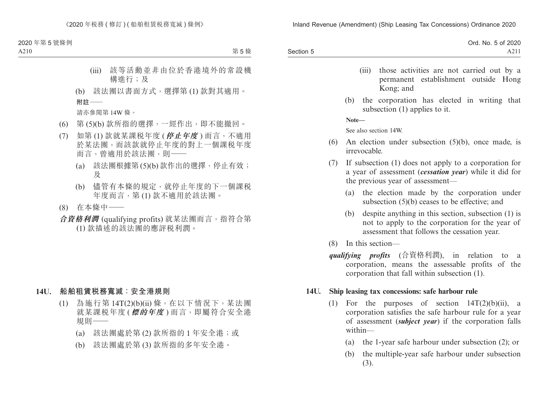|           | Ord. No. 5 of 2020 |
|-----------|--------------------|
| Section 5 | A211               |

- (iii) those activities are not carried out by a permanent establishment outside Hong Kong; and
- (b) the corporation has elected in writing that subsection (1) applies to it.

**Note—**

See also section 14W.

- (6) An election under subsection (5)(b), once made, is irrevocable.
- (7) If subsection (1) does not apply to a corporation for a year of assessment (*cessation year*) while it did for the previous year of assessment—
	- (a) the election made by the corporation under subsection (5)(b) ceases to be effective; and
	- (b) despite anything in this section, subsection (1) is not to apply to the corporation for the year of assessment that follows the cessation year.
- (8) In this section—
- *qualifying profits* (合資格利潤), in relation to a corporation, means the assessable profits of the corporation that fall within subsection (1).

#### **14U. Ship leasing tax concessions: safe harbour rule**

- (1) For the purposes of section  $14T(2)(b)(ii)$ , a corporation satisfies the safe harbour rule for a year of assessment (*subject year*) if the corporation falls within—
	- (a) the 1-year safe harbour under subsection (2); or
	- (b) the multiple-year safe harbour under subsection (3).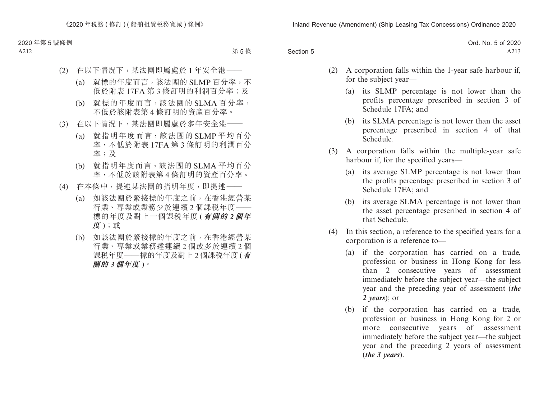|           | Ord. No. 5 of 2020 |
|-----------|--------------------|
| Section 5 | A213               |

- (2) A corporation falls within the 1-year safe harbour if, for the subject year—
	- (a) its SLMP percentage is not lower than the profits percentage prescribed in section 3 of Schedule 17FA; and
	- (b) its SLMA percentage is not lower than the asset percentage prescribed in section 4 of that Schedule.
- (3) A corporation falls within the multiple-year safe harbour if, for the specified years—
	- (a) its average SLMP percentage is not lower than the profits percentage prescribed in section 3 of Schedule 17FA; and
	- (b) its average SLMA percentage is not lower than the asset percentage prescribed in section 4 of that Schedule.
- (4) In this section, a reference to the specified years for a corporation is a reference to—
	- (a) if the corporation has carried on a trade, profession or business in Hong Kong for less than 2 consecutive years of assessment immediately before the subject year—the subject year and the preceding year of assessment (*the 2 years*); or
	- (b) if the corporation has carried on a trade, profession or business in Hong Kong for 2 or more consecutive years of assessment immediately before the subject year—the subject year and the preceding 2 years of assessment (*the 3 years*).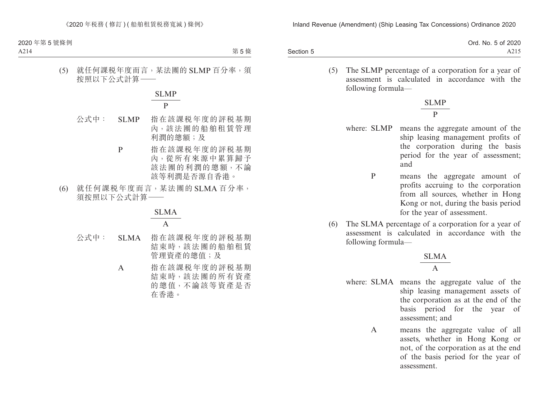|           | Ord. No. 5 of 2020 |
|-----------|--------------------|
| Section 5 | A215               |

(5) The SLMP percentage of a corporation for a year of assessment is calculated in accordance with the following formula—

> SLMP P

- where: SLMP means the aggregate amount of the ship leasing management profits of the corporation during the basis period for the year of assessment; and
	- P means the aggregate amount of profits accruing to the corporation from all sources, whether in Hong Kong or not, during the basis period for the year of assessment.
- (6) The SLMA percentage of a corporation for a year of assessment is calculated in accordance with the following formula—

$$
\frac{\text{SLMA}}{\text{A}}
$$

- where: SLMA means the aggregate value of the ship leasing management assets of the corporation as at the end of the basis period for the year of assessment; and
	- A means the aggregate value of all assets, whether in Hong Kong or not, of the corporation as at the end of the basis period for the year of assessment.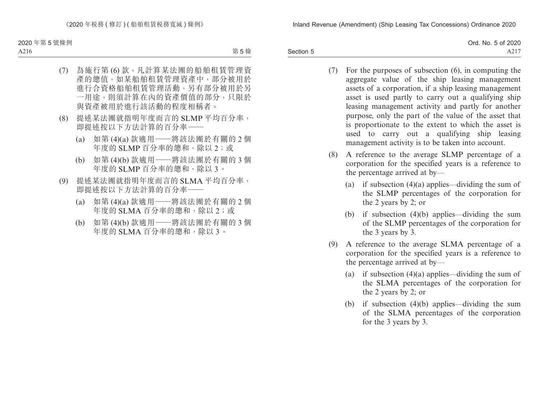|           | Ord. No. 5 of 2020 |
|-----------|--------------------|
| Section 5 | A217               |

- (7) For the purposes of subsection (6), in computing the aggregate value of the ship leasing management assets of a corporation, if a ship leasing management asset is used partly to carry out a qualifying ship leasing management activity and partly for another purpose, only the part of the value of the asset that is proportionate to the extent to which the asset is used to carry out a qualifying ship leasing management activity is to be taken into account.
- (8) A reference to the average SLMP percentage of a corporation for the specified years is a reference to the percentage arrived at by—
	- (a) if subsection  $(4)(a)$  applies—dividing the sum of the SLMP percentages of the corporation for the 2 years by 2; or
	- (b) if subsection (4)(b) applies—dividing the sum of the SLMP percentages of the corporation for the 3 years by 3.
- (9) A reference to the average SLMA percentage of a corporation for the specified years is a reference to the percentage arrived at by—
	- (a) if subsection  $(4)(a)$  applies—dividing the sum of the SLMA percentages of the corporation for the 2 years by 2; or
	- (b) if subsection (4)(b) applies—dividing the sum of the SLMA percentages of the corporation for the 3 years by 3.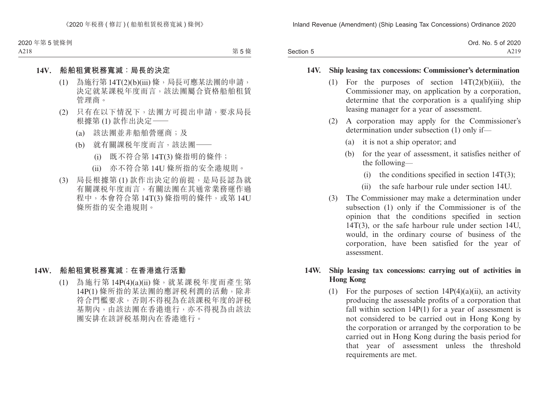|           | Ord. No. 5 of 2020 |
|-----------|--------------------|
| Section 5 | A219               |

#### **14V. Ship leasing tax concessions: Commissioner's determination**

- (1) For the purposes of section 14T(2)(b)(iii), the Commissioner may, on application by a corporation, determine that the corporation is a qualifying ship leasing manager for a year of assessment.
- (2) A corporation may apply for the Commissioner's determination under subsection (1) only if—
	- (a) it is not a ship operator; and
	- (b) for the year of assessment, it satisfies neither of the following—
		- (i) the conditions specified in section  $14T(3)$ ;
		- (ii) the safe harbour rule under section 14U.
- (3) The Commissioner may make a determination under subsection (1) only if the Commissioner is of the opinion that the conditions specified in section 14T(3), or the safe harbour rule under section 14U, would, in the ordinary course of business of the corporation, have been satisfied for the year of assessment.

## **14W. Ship leasing tax concessions: carrying out of activities in Hong Kong**

(1) For the purposes of section  $14P(4)(a)(ii)$ , an activity producing the assessable profits of a corporation that fall within section 14P(1) for a year of assessment is not considered to be carried out in Hong Kong by the corporation or arranged by the corporation to be carried out in Hong Kong during the basis period for that year of assessment unless the threshold requirements are met.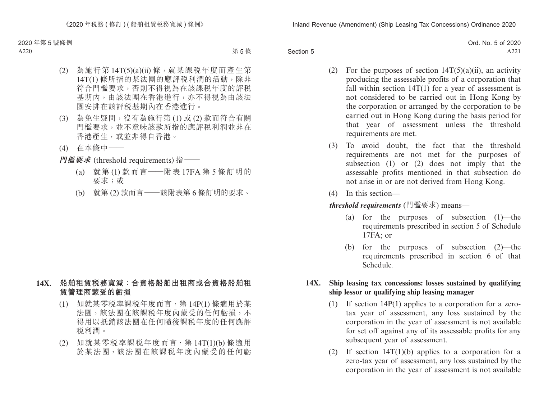|           | Ord. No. 5 of 2020 |
|-----------|--------------------|
| Section 5 | A221               |

- (2) For the purposes of section  $14T(5)(a)(ii)$ , an activity producing the assessable profits of a corporation that fall within section  $14T(1)$  for a year of assessment is not considered to be carried out in Hong Kong by the corporation or arranged by the corporation to be carried out in Hong Kong during the basis period for that year of assessment unless the threshold requirements are met.
- (3) To avoid doubt, the fact that the threshold requirements are not met for the purposes of subsection (1) or (2) does not imply that the assessable profits mentioned in that subsection do not arise in or are not derived from Hong Kong.
- (4) In this section—

*threshold requirements* (門檻要求) means—

- (a) for the purposes of subsection (1)—the requirements prescribed in section 5 of Schedule 17FA; or
- (b) for the purposes of subsection (2)—the requirements prescribed in section 6 of that Schedule.

## **14X. Ship leasing tax concessions: losses sustained by qualifying ship lessor or qualifying ship leasing manager**

- (1) If section 14P(1) applies to a corporation for a zerotax year of assessment, any loss sustained by the corporation in the year of assessment is not available for set off against any of its assessable profits for any subsequent year of assessment.
- (2) If section 14T(1)(b) applies to a corporation for a zero-tax year of assessment, any loss sustained by the corporation in the year of assessment is not available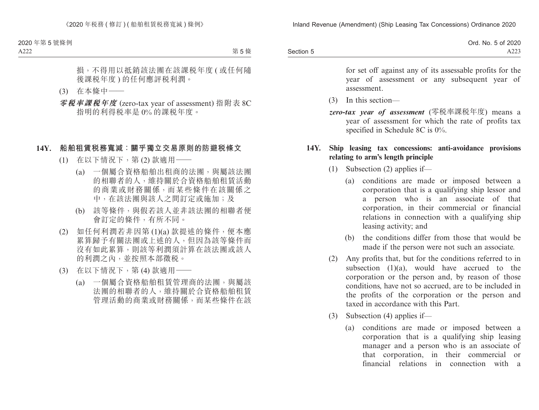|           | Ord. No. 5 of 2020 |
|-----------|--------------------|
| Section 5 | $\sim$<br>A22.     |

for set off against any of its assessable profits for the year of assessment or any subsequent year of assessment.

- (3) In this section—
- *zero-tax year of assessment* (零稅率課稅年度) means a year of assessment for which the rate of profits tax specified in Schedule 8C is 0%.

#### **14Y. Ship leasing tax concessions: anti-avoidance provisions relating to arm's length principle**

- (1) Subsection (2) applies if—
	- (a) conditions are made or imposed between a corporation that is a qualifying ship lessor and a person who is an associate of that corporation, in their commercial or financial relations in connection with a qualifying ship leasing activity; and
	- (b) the conditions differ from those that would be made if the person were not such an associate.
- (2) Any profits that, but for the conditions referred to in subsection  $(1)(a)$ , would have accrued to the corporation or the person and, by reason of those conditions, have not so accrued, are to be included in the profits of the corporation or the person and taxed in accordance with this Part.
- (3) Subsection (4) applies if—
	- (a) conditions are made or imposed between a corporation that is a qualifying ship leasing manager and a person who is an associate of that corporation, in their commercial or financial relations in connection with a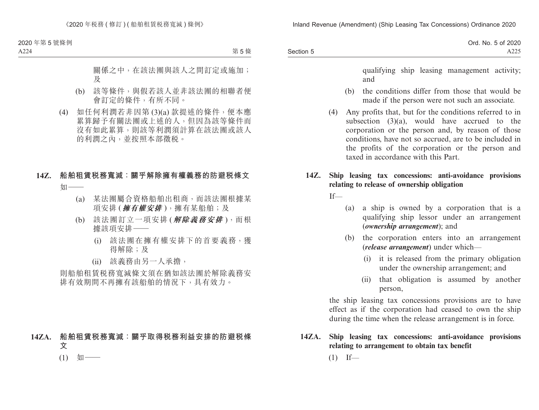|           | Ord. No. 5 of 2020 |
|-----------|--------------------|
| Section 5 | A225               |

qualifying ship leasing management activity; and

- (b) the conditions differ from those that would be made if the person were not such an associate.
- (4) Any profits that, but for the conditions referred to in subsection (3)(a), would have accrued to the corporation or the person and, by reason of those conditions, have not so accrued, are to be included in the profits of the corporation or the person and taxed in accordance with this Part.

## **14Z. Ship leasing tax concessions: anti-avoidance provisions relating to release of ownership obligation**

 $If$ 

- (a) a ship is owned by a corporation that is a qualifying ship lessor under an arrangement (*ownership arrangement*); and
- (b) the corporation enters into an arrangement (*release arrangement*) under which—
	- (i) it is released from the primary obligation under the ownership arrangement; and
	- (ii) that obligation is assumed by another person,

the ship leasing tax concessions provisions are to have effect as if the corporation had ceased to own the ship during the time when the release arrangement is in force.

**14ZA. Ship leasing tax concessions: anti-avoidance provisions relating to arrangement to obtain tax benefit**  $(1)$  If—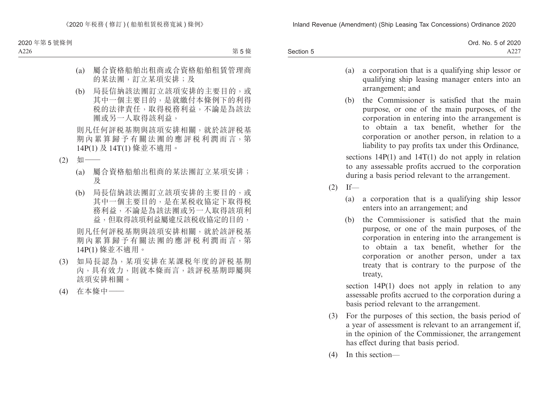|           | Ord. No. 5 of 2020 |
|-----------|--------------------|
| Section 5 | $A22^{\circ}$      |

- (a) a corporation that is a qualifying ship lessor or qualifying ship leasing manager enters into an arrangement; and
- (b) the Commissioner is satisfied that the main purpose, or one of the main purposes, of the corporation in entering into the arrangement is to obtain a tax benefit, whether for the corporation or another person, in relation to a liability to pay profits tax under this Ordinance,

sections  $14P(1)$  and  $14T(1)$  do not apply in relation to any assessable profits accrued to the corporation during a basis period relevant to the arrangement.

- $(2)$  If—
	- (a) a corporation that is a qualifying ship lessor enters into an arrangement; and
	- (b) the Commissioner is satisfied that the main purpose, or one of the main purposes, of the corporation in entering into the arrangement is to obtain a tax benefit, whether for the corporation or another person, under a tax treaty that is contrary to the purpose of the treaty,

section  $14P(1)$  does not apply in relation to any assessable profits accrued to the corporation during a basis period relevant to the arrangement.

- (3) For the purposes of this section, the basis period of a year of assessment is relevant to an arrangement if, in the opinion of the Commissioner, the arrangement has effect during that basis period.
- (4) In this section—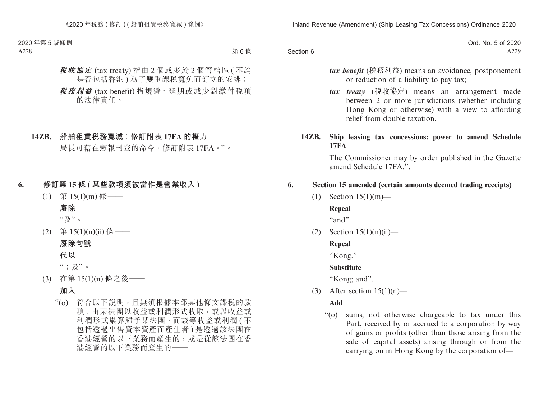|           | Ord. No. 5 of 2020 |
|-----------|--------------------|
| Section 6 | A229               |

- *tax benefit* (稅務利益) means an avoidance, postponement or reduction of a liability to pay tax;
- *tax treaty* (稅收協定) means an arrangement made between 2 or more jurisdictions (whether including Hong Kong or otherwise) with a view to affording relief from double taxation.

#### **14ZB. Ship leasing tax concessions: power to amend Schedule 17FA**

The Commissioner may by order published in the Gazette amend Schedule 17FA<sup>"</sup>.

## **6. Section 15 amended (certain amounts deemed trading receipts)**

(1) Section 15(1)(m)—

## **Repeal**

"and".

 $(2)$  Section  $15(1)(n)(ii)$ —

# **Repeal**

"Kong."

# **Substitute**

"Kong; and".

(3) After section  $15(1)(n)$ —

# **Add**

"(o) sums, not otherwise chargeable to tax under this Part, received by or accrued to a corporation by way of gains or profits (other than those arising from the sale of capital assets) arising through or from the carrying on in Hong Kong by the corporation of—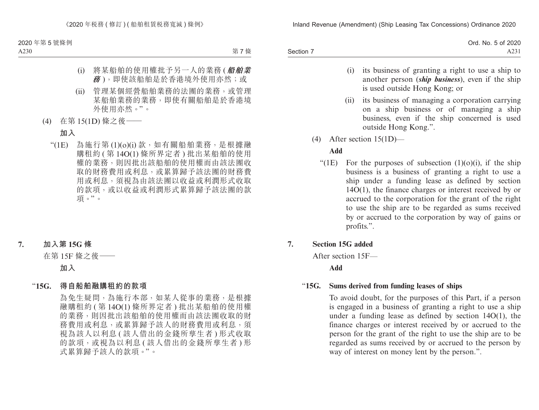|           | Ord. No. 5 of 2020 |
|-----------|--------------------|
| Section 7 | A231               |

- (i) its business of granting a right to use a ship to another person (*ship business*), even if the ship is used outside Hong Kong; or
- (ii) its business of managing a corporation carrying on a ship business or of managing a ship business, even if the ship concerned is used outside Hong Kong.".
- (4) After section 15(1D)—

# **Add**

"(1E) For the purposes of subsection  $(1)(0)(i)$ , if the ship business is a business of granting a right to use a ship under a funding lease as defined by section 14O(1), the finance charges or interest received by or accrued to the corporation for the grant of the right to use the ship are to be regarded as sums received by or accrued to the corporation by way of gains or profits.".

# **7. Section 15G added**

After section 15F—

**Add**

# "**15G. Sums derived from funding leases of ships**

To avoid doubt, for the purposes of this Part, if a person is engaged in a business of granting a right to use a ship under a funding lease as defined by section 14O(1), the finance charges or interest received by or accrued to the person for the grant of the right to use the ship are to be regarded as sums received by or accrued to the person by way of interest on money lent by the person.".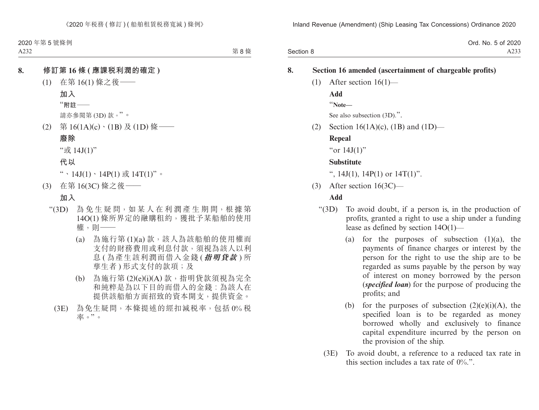|           | Ord. No. 5 of 2020 |
|-----------|--------------------|
| Section 8 | A233               |

# **8. Section 16 amended (ascertainment of chargeable profits)** (1) After section 16(1)— **Add** "**Note—** See also subsection  $(3D)$ .". (2) Section 16(1A)(c), (1B) and (1D)— **Repeal** "or  $14J(1)$ " **Substitute** ",  $14J(1)$ ,  $14P(1)$  or  $14T(1)$ ". (3) After section 16(3C)— **Add** "(3D) To avoid doubt, if a person is, in the production of profits, granted a right to use a ship under a funding

- lease as defined by section 14O(1)—
	- (a) for the purposes of subsection  $(1)(a)$ , the payments of finance charges or interest by the person for the right to use the ship are to be regarded as sums payable by the person by way of interest on money borrowed by the person (*specified loan*) for the purpose of producing the profits; and
	- (b) for the purposes of subsection  $(2)(e)(i)(A)$ , the specified loan is to be regarded as money borrowed wholly and exclusively to finance capital expenditure incurred by the person on the provision of the ship.
- (3E) To avoid doubt, a reference to a reduced tax rate in this section includes a tax rate of  $0\%$ .".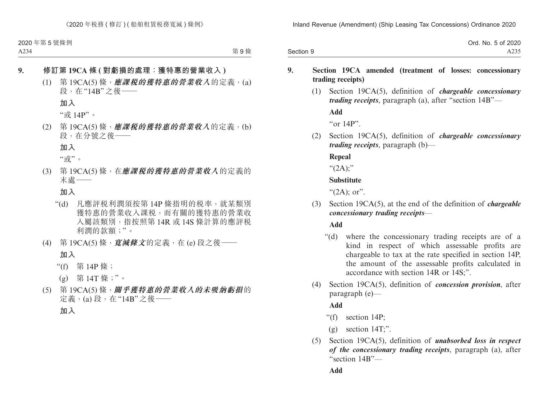Section 9 Ord. No. 5 of 2020 A235

## **9. Section 19CA amended (treatment of losses: concessionary trading receipts)**

(1) Section 19CA(5), definition of *chargeable concessionary trading receipts*, paragraph (a), after "section 14B"—

**Add**

"or 14P".

(2) Section 19CA(5), definition of *chargeable concessionary trading receipts*, paragraph (b)—

**Repeal**

 $``(2A)$ ;"

## **Substitute**

" $(2A)$ ; or".

(3) Section 19CA(5), at the end of the definition of *chargeable concessionary trading receipts*—

**Add**

- "(d) where the concessionary trading receipts are of a kind in respect of which assessable profits are chargeable to tax at the rate specified in section 14P, the amount of the assessable profits calculated in accordance with section 14R or 14S;".
- (4) Section 19CA(5), definition of *concession provision*, after paragraph (e)—

# **Add**

- "(f) section 14P;
- $(g)$  section 14T;".
- (5) Section 19CA(5), definition of *unabsorbed loss in respect of the concessionary trading receipts*, paragraph (a), after "section 14B"—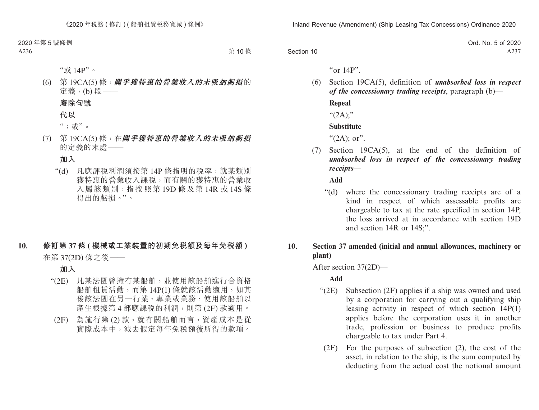|            | Ord. No. 5 of 2020 |
|------------|--------------------|
| Section 10 | A237               |

" $\alpha$ r 14P".

(6) Section 19CA(5), definition of *unabsorbed loss in respect of the concessionary trading receipts*, paragraph (b)— **Repeal** " $(2A)$ ;"

# **Substitute**

" $(2A)$ ; or".

(7) Section 19CA(5), at the end of the definition of *unabsorbed loss in respect of the concessionary trading receipts*—

**Add**

"(d) where the concessionary trading receipts are of a kind in respect of which assessable profits are chargeable to tax at the rate specified in section 14P, the loss arrived at in accordance with section 19D and section 14R or 14S;".

## **10. Section 37 amended (initial and annual allowances, machinery or plant)**

After section 37(2D)—

**Add**

- "(2E) Subsection (2F) applies if a ship was owned and used by a corporation for carrying out a qualifying ship leasing activity in respect of which section 14P(1) applies before the corporation uses it in another trade, profession or business to produce profits chargeable to tax under Part 4.
	- (2F) For the purposes of subsection (2), the cost of the asset, in relation to the ship, is the sum computed by deducting from the actual cost the notional amount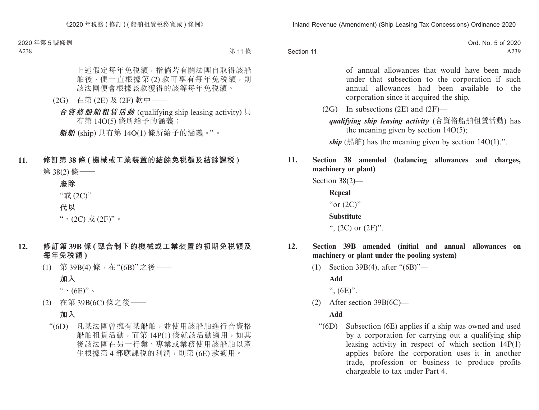|            | Ord. No. 5 of 2020 |
|------------|--------------------|
| Section 11 | A239               |

of annual allowances that would have been made under that subsection to the corporation if such annual allowances had been available to the corporation since it acquired the ship.

 $(2G)$  In subsections  $(2E)$  and  $(2F)$ —

*qualifying ship leasing activity* (合資格船舶租賃活動) has the meaning given by section  $14O(5)$ ;

*ship*  $(\n# \n#)$  has the meaning given by section  $14O(1)$ .".

# **11. Section 38 amended (balancing allowances and charges, machinery or plant)**

Section 38(2)—

**Repeal** "or  $(2C)$ "

**Substitute**

",  $(2C)$  or  $(2F)$ ".

- **12. Section 39B amended (initial and annual allowances on machinery or plant under the pooling system)**
	- (1) Section 39B(4), after "(6B)"—

**Add**

",  $(6E)$ ".

(2) After section 39B(6C)—

## **Add**

"(6D) Subsection (6E) applies if a ship was owned and used by a corporation for carrying out a qualifying ship leasing activity in respect of which section 14P(1) applies before the corporation uses it in another trade, profession or business to produce profits chargeable to tax under Part 4.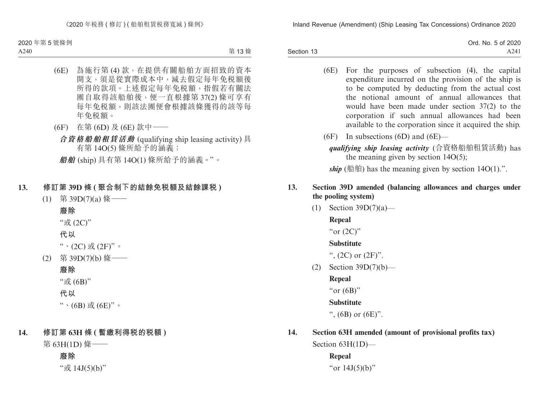|            | Ord. No. 5 of 2020 |
|------------|--------------------|
| Section 13 | A241               |

- (6E) For the purposes of subsection (4), the capital expenditure incurred on the provision of the ship is to be computed by deducting from the actual cost the notional amount of annual allowances that would have been made under section 37(2) to the corporation if such annual allowances had been available to the corporation since it acquired the ship.
- (6F) In subsections (6D) and (6E)
	- *qualifying ship leasing activity* (合資格船舶租賃活動) has the meaning given by section  $14O(5)$ ;

*ship* (船舶) has the meaning given by section  $14O(1)$ .".

# **13. Section 39D amended (balancing allowances and charges under the pooling system)**

(1) Section 39D(7)(a)—

**Repeal**

"or  $(2C)$ "

# **Substitute**

",  $(2C)$  or  $(2F)$ ".

(2) Section 39D(7)(b)—

**Repeal**

"or  $(6B)$ "

**Substitute**

",  $(6B)$  or  $(6E)$ ".

# **14. Section 63H amended (amount of provisional profits tax)**

Section 63H(1D)—

**Repeal** "or 14J(5)(b)"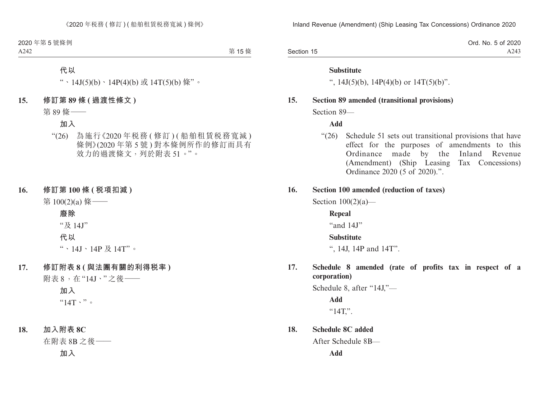Section 15 Ord. No. 5 of 2020 A243

#### **Substitute**

",  $14J(5)(b)$ ,  $14P(4)(b)$  or  $14T(5)(b)$ ".

#### **15. Section 89 amended (transitional provisions)**

Section 89—

**Add**

"(26) Schedule 51 sets out transitional provisions that have effect for the purposes of amendments to this Ordinance made by the Inland Revenue (Amendment) (Ship Leasing Tax Concessions) Ordinance 2020 (5 of 2020).".

#### **16. Section 100 amended (reduction of taxes)**

Section  $100(2)(a)$ —

**Repeal** "and 14J" **Substitute**

", 14J, 14P and 14T".

**17. Schedule 8 amended (rate of profits tax in respect of a corporation)**

Schedule 8, after "14J,"—

**Add**  $"14T."$ .

**18. Schedule 8C added**

After Schedule 8B—

**Add**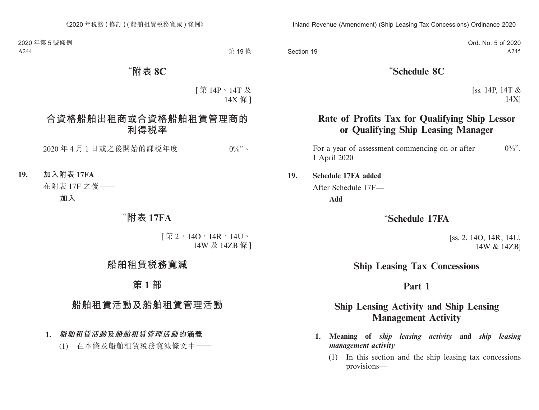Ord. No. 5 of 2020 A245

# "**Schedule 8C**

[ss. 14P, 14T & 14X]

# **Rate of Profits Tax for Qualifying Ship Lessor or Qualifying Ship Leasing Manager**

For a year of assessment commencing on or after  $0\%$ ". 1 April 2020

#### **19. Schedule 17FA added**

After Schedule 17F—

**Add**

# "**Schedule 17FA**

[ss. 2, 14O, 14R, 14U, 14W & 14ZB]

# **Ship Leasing Tax Concessions**

# **Part 1**

# **Ship Leasing Activity and Ship Leasing Management Activity**

- **1. Meaning of** *ship leasing activity* **and** *ship leasing management activity*
	- (1) In this section and the ship leasing tax concessions provisions—

Section 19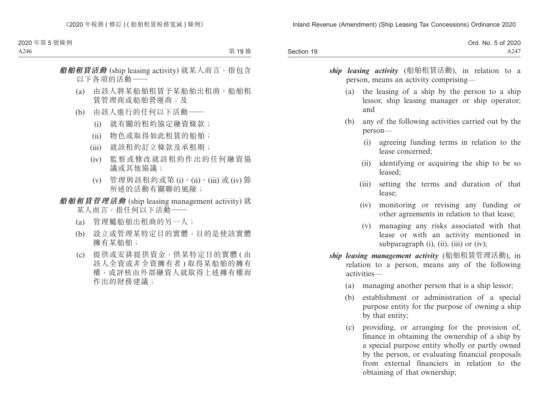|            | Ord. No. 5 of 2020 |
|------------|--------------------|
| Section 19 | A247               |

*ship leasing activity* (船舶租賃活動), in relation to a person, means an activity comprising—

- (a) the leasing of a ship by the person to a ship lessor, ship leasing manager or ship operator; and
- (b) any of the following activities carried out by the person—
	- (i) agreeing funding terms in relation to the lease concerned;
	- (ii) identifying or acquiring the ship to be so leased;
	- (iii) setting the terms and duration of that lease;
	- (iv) monitoring or revising any funding or other agreements in relation to that lease;
	- (v) managing any risks associated with that lease or with an activity mentioned in subparagraph  $(i)$ ,  $(ii)$ ,  $(iii)$  or  $(iv)$ ;
- *ship leasing management activity* (船舶租賃管理活動), in relation to a person, means any of the following activities—
	- (a) managing another person that is a ship lessor;
	- (b) establishment or administration of a special purpose entity for the purpose of owning a ship by that entity;
	- (c) providing, or arranging for the provision of, finance in obtaining the ownership of a ship by a special purpose entity wholly or partly owned by the person, or evaluating financial proposals from external financiers in relation to the obtaining of that ownership;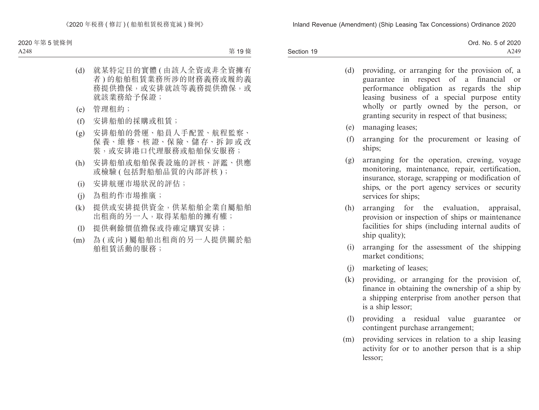|            | Ord. No. 5 of 2020 |
|------------|--------------------|
| Section 19 | A249               |

- (d) providing, or arranging for the provision of, a guarantee in respect of a financial or performance obligation as regards the ship leasing business of a special purpose entity wholly or partly owned by the person, or granting security in respect of that business;
- (e) managing leases;
- (f) arranging for the procurement or leasing of ships;
- (g) arranging for the operation, crewing, voyage monitoring, maintenance, repair, certification, insurance, storage, scrapping or modification of ships, or the port agency services or security services for ships;
- (h) arranging for the evaluation, appraisal, provision or inspection of ships or maintenance facilities for ships (including internal audits of ship quality);
- (i) arranging for the assessment of the shipping market conditions;
- (j) marketing of leases;
- (k) providing, or arranging for the provision of, finance in obtaining the ownership of a ship by a shipping enterprise from another person that is a ship lessor;
- (l) providing a residual value guarantee or contingent purchase arrangement;
- (m) providing services in relation to a ship leasing activity for or to another person that is a ship lessor;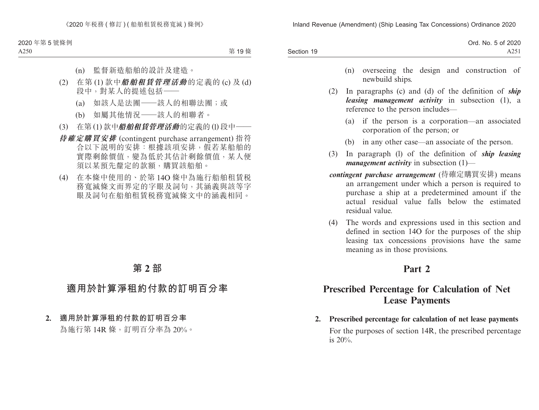|            | Ord. No. 5 of 2020 |
|------------|--------------------|
| Section 19 | A251               |

- (n) overseeing the design and construction of newbuild ships.
- (2) In paragraphs (c) and (d) of the definition of *ship leasing management activity* in subsection (1), a reference to the person includes—
	- (a) if the person is a corporation—an associated corporation of the person; or
	- (b) in any other case—an associate of the person.
- (3) In paragraph (l) of the definition of *ship leasing management activity* in subsection (1)—
- *contingent purchase arrangement* (待確定購買安排) means an arrangement under which a person is required to purchase a ship at a predetermined amount if the actual residual value falls below the estimated residual value.
- (4) The words and expressions used in this section and defined in section 14O for the purposes of the ship leasing tax concessions provisions have the same meaning as in those provisions.

# **Part 2**

# **Prescribed Percentage for Calculation of Net Lease Payments**

**2. Prescribed percentage for calculation of net lease payments** For the purposes of section 14R, the prescribed percentage is 20%.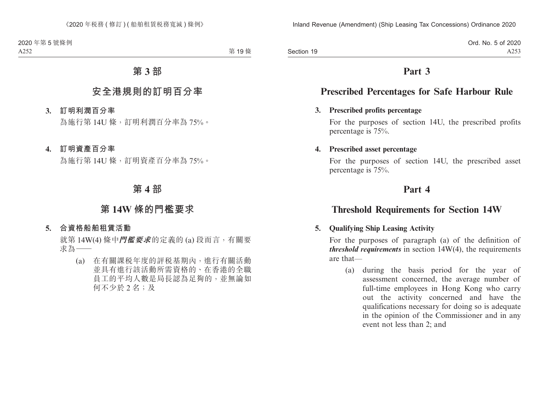Section 19

# **Part 3**

# **Prescribed Percentages for Safe Harbour Rule**

#### **3. Prescribed profits percentage**

For the purposes of section 14U, the prescribed profits percentage is 75%.

#### **4. Prescribed asset percentage**

For the purposes of section 14U, the prescribed asset percentage is 75%.

# **Part 4**

# **Threshold Requirements for Section 14W**

# **5. Qualifying Ship Leasing Activity**

For the purposes of paragraph (a) of the definition of *threshold requirements* in section 14W(4), the requirements are that—

(a) during the basis period for the year of assessment concerned, the average number of full-time employees in Hong Kong who carry out the activity concerned and have the qualifications necessary for doing so is adequate in the opinion of the Commissioner and in any event not less than 2; and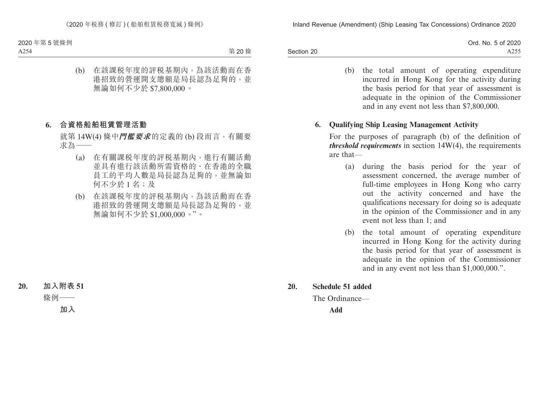|            | Ord. No. 5 of 2020 |
|------------|--------------------|
| Section 20 | A255               |

(b) the total amount of operating expenditure incurred in Hong Kong for the activity during the basis period for that year of assessment is adequate in the opinion of the Commissioner and in any event not less than \$7,800,000.

#### **6. Qualifying Ship Leasing Management Activity**

For the purposes of paragraph (b) of the definition of *threshold requirements* in section 14W(4), the requirements are that—

- (a) during the basis period for the year of assessment concerned, the average number of full-time employees in Hong Kong who carry out the activity concerned and have the qualifications necessary for doing so is adequate in the opinion of the Commissioner and in any event not less than 1; and
- (b) the total amount of operating expenditure incurred in Hong Kong for the activity during the basis period for that year of assessment is adequate in the opinion of the Commissioner and in any event not less than \$1,000,000.".
- **20. Schedule 51 added**

The Ordinance—

**Add**